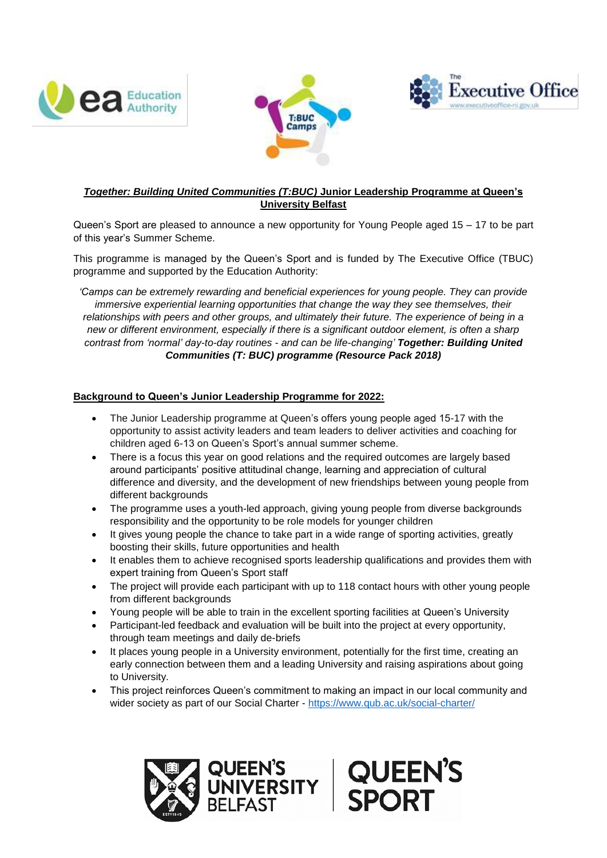





# *Together: Building United Communities (T:BUC)* **Junior Leadership Programme at Queen's University Belfast**

Queen's Sport are pleased to announce a new opportunity for Young People aged 15 – 17 to be part of this year's Summer Scheme.

This programme is managed by the Queen's Sport and is funded by The Executive Office (TBUC) programme and supported by the Education Authority:

*'Camps can be extremely rewarding and beneficial experiences for young people. They can provide immersive experiential learning opportunities that change the way they see themselves, their relationships with peers and other groups, and ultimately their future. The experience of being in a new or different environment, especially if there is a significant outdoor element, is often a sharp contrast from 'normal' day-to-day routines - and can be life-changing' Together: Building United Communities (T: BUC) programme (Resource Pack 2018)* 

## **Background to Queen's Junior Leadership Programme for 2022:**

- The Junior Leadership programme at Queen's offers young people aged 15-17 with the opportunity to assist activity leaders and team leaders to deliver activities and coaching for children aged 6-13 on Queen's Sport's annual summer scheme.
- There is a focus this year on good relations and the required outcomes are largely based around participants' positive attitudinal change, learning and appreciation of cultural difference and diversity, and the development of new friendships between young people from different backgrounds
- The programme uses a youth-led approach, giving young people from diverse backgrounds responsibility and the opportunity to be role models for younger children
- It gives young people the chance to take part in a wide range of sporting activities, greatly boosting their skills, future opportunities and health
- It enables them to achieve recognised sports leadership qualifications and provides them with expert training from Queen's Sport staff
- The project will provide each participant with up to 118 contact hours with other young people from different backgrounds
- Young people will be able to train in the excellent sporting facilities at Queen's University
- Participant-led feedback and evaluation will be built into the project at every opportunity, through team meetings and daily de-briefs
- It places young people in a University environment, potentially for the first time, creating an early connection between them and a leading University and raising aspirations about going to University.
- This project reinforces Queen's commitment to making an impact in our local community and wider society as part of our Social Charter - <https://www.qub.ac.uk/social-charter/>